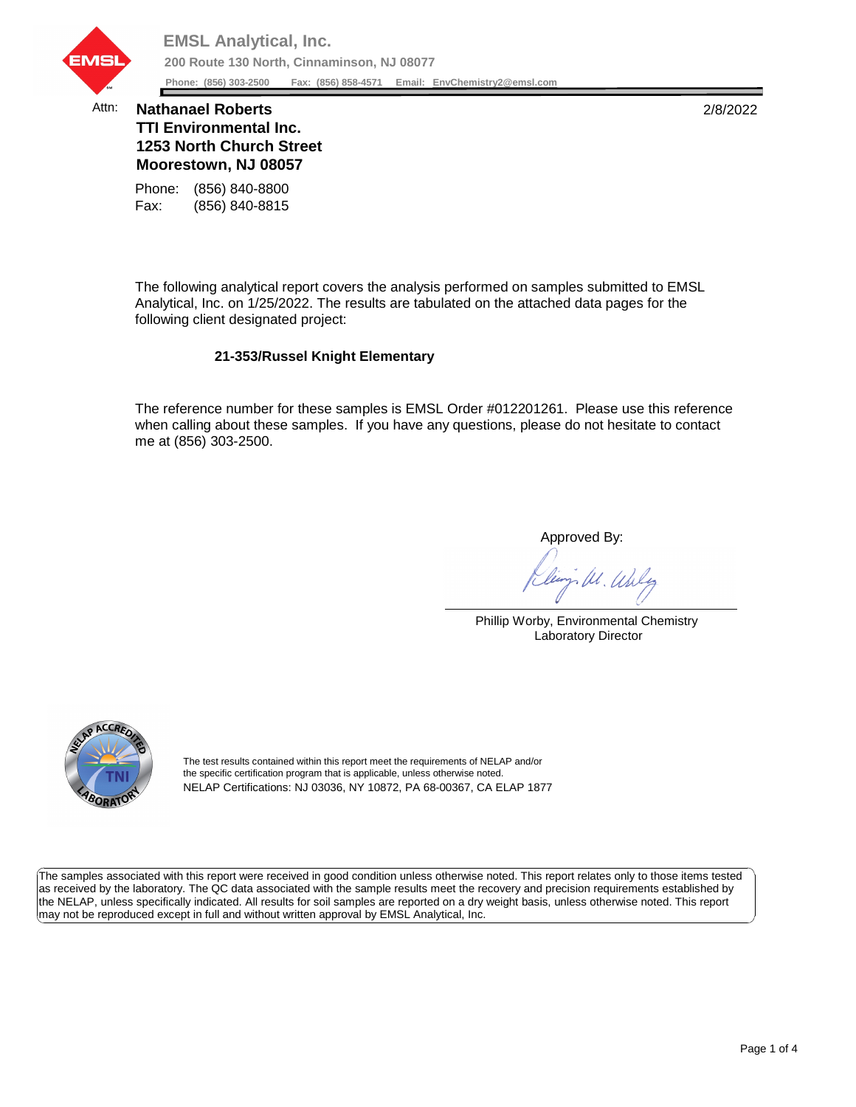

## Attn: **Nathanael Roberts** 2/8/2022 **TTI Environmental Inc. 1253 North Church Street Moorestown, NJ 08057**

Fax: (856) 840-8815 Phone: (856) 840-8800

The following analytical report covers the analysis performed on samples submitted to EMSL Analytical, Inc. on 1/25/2022. The results are tabulated on the attached data pages for the following client designated project:

## **21-353/Russel Knight Elementary**

The reference number for these samples is EMSL Order #012201261. Please use this reference when calling about these samples. If you have any questions, please do not hesitate to contact me at (856) 303-2500.

Approved By:

W. Whly

Phillip Worby, Environmental Chemistry Laboratory Director



The test results contained within this report meet the requirements of NELAP and/or the specific certification program that is applicable, unless otherwise noted. NELAP Certifications: NJ 03036, NY 10872, PA 68-00367, CA ELAP 1877

The samples associated with this report were received in good condition unless otherwise noted. This report relates only to those items tested as received by the laboratory. The QC data associated with the sample results meet the recovery and precision requirements established by the NELAP, unless specifically indicated. All results for soil samples are reported on a dry weight basis, unless otherwise noted. This report may not be reproduced except in full and without written approval by EMSL Analytical, Inc.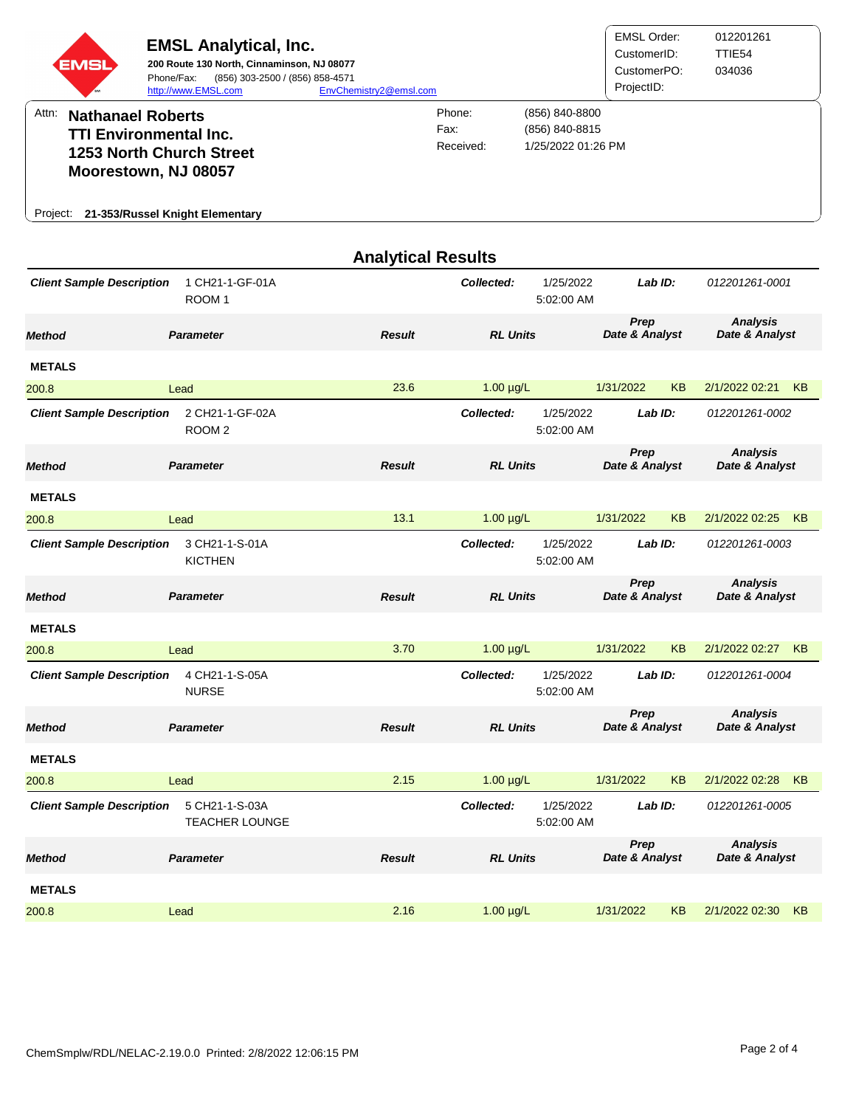| EMSI                                                                                                                                                                                                                                                           | <b>EMSL Analytical, Inc.</b><br>200 Route 130 North, Cinnaminson, NJ 08077<br>(856) 303-2500 / (856) 858-4571<br>Phone/Fax:<br>http://www.EMSL.com | EnvChemistry2@emsl.com    |                 |                         | <b>EMSL Order:</b><br>CustomerID:<br>CustomerPO:<br>ProjectID: |           | 012201261<br>TTIE54<br>034036     |           |
|----------------------------------------------------------------------------------------------------------------------------------------------------------------------------------------------------------------------------------------------------------------|----------------------------------------------------------------------------------------------------------------------------------------------------|---------------------------|-----------------|-------------------------|----------------------------------------------------------------|-----------|-----------------------------------|-----------|
| Attn:<br>Phone:<br>(856) 840-8800<br><b>Nathanael Roberts</b><br>Fax:<br>(856) 840-8815<br><b>TTI Environmental Inc.</b><br>1/25/2022 01:26 PM<br>Received:<br>1253 North Church Street<br>Moorestown, NJ 08057<br>21-353/Russel Knight Elementary<br>Project: |                                                                                                                                                    |                           |                 |                         |                                                                |           |                                   |           |
|                                                                                                                                                                                                                                                                |                                                                                                                                                    | <b>Analytical Results</b> |                 |                         |                                                                |           |                                   |           |
| <b>Client Sample Description</b>                                                                                                                                                                                                                               | 1 CH21-1-GF-01A<br>ROOM <sub>1</sub>                                                                                                               |                           | Collected:      | 1/25/2022<br>5:02:00 AM | Lab ID:                                                        |           | 012201261-0001                    |           |
| <b>Method</b>                                                                                                                                                                                                                                                  | <b>Parameter</b>                                                                                                                                   | Result                    | <b>RL Units</b> |                         | Prep<br>Date & Analyst                                         |           | <b>Analysis</b><br>Date & Analyst |           |
| <b>METALS</b>                                                                                                                                                                                                                                                  |                                                                                                                                                    |                           |                 |                         |                                                                |           |                                   |           |
| 200.8                                                                                                                                                                                                                                                          | Lead                                                                                                                                               | 23.6                      | $1.00 \mu g/L$  |                         | 1/31/2022                                                      | <b>KB</b> | 2/1/2022 02:21                    | <b>KB</b> |
| <b>Client Sample Description</b>                                                                                                                                                                                                                               | 2 CH21-1-GF-02A<br>ROOM <sub>2</sub>                                                                                                               |                           | Collected:      | 1/25/2022<br>5:02:00 AM | Lab ID:                                                        |           | 012201261-0002                    |           |
| Method                                                                                                                                                                                                                                                         | <b>Parameter</b>                                                                                                                                   | <b>Result</b>             | <b>RL Units</b> |                         | Prep<br>Date & Analyst                                         |           | <b>Analysis</b><br>Date & Analyst |           |
| <b>METALS</b>                                                                                                                                                                                                                                                  |                                                                                                                                                    |                           |                 |                         |                                                                |           |                                   |           |
| 200.8                                                                                                                                                                                                                                                          | Lead                                                                                                                                               | 13.1                      | $1.00 \mu g/L$  |                         | 1/31/2022                                                      | ΚB        | 2/1/2022 02:25                    | KB        |
| <b>Client Sample Description</b>                                                                                                                                                                                                                               | 3 CH21-1-S-01A<br><b>KICTHEN</b>                                                                                                                   |                           | Collected:      | 1/25/2022<br>5:02:00 AM | Lab ID:                                                        |           | 012201261-0003                    |           |
| <b>Method</b>                                                                                                                                                                                                                                                  | <b>Parameter</b>                                                                                                                                   | <b>Result</b>             | <b>RL Units</b> |                         | Prep<br>Date & Analyst                                         |           | <b>Analysis</b><br>Date & Analyst |           |
| <b>METALS</b>                                                                                                                                                                                                                                                  |                                                                                                                                                    |                           |                 |                         |                                                                |           |                                   |           |
| 200.8                                                                                                                                                                                                                                                          | Lead                                                                                                                                               | 3.70                      | $1.00 \mu g/L$  |                         | 1/31/2022                                                      | KB        | 2/1/2022 02:27 KB                 |           |
| <b>Client Sample Description</b>                                                                                                                                                                                                                               | 4 CH21-1-S-05A<br><b>NURSE</b>                                                                                                                     |                           | Collected:      | 1/25/2022<br>5:02:00 AM | Lab ID:                                                        |           | 012201261-0004                    |           |
| <b>Method</b>                                                                                                                                                                                                                                                  | <b>Parameter</b>                                                                                                                                   | <b>Result</b>             | <b>RL Units</b> |                         | Prep<br>Date & Analyst                                         |           | <b>Analysis</b><br>Date & Analyst |           |
| <b>METALS</b>                                                                                                                                                                                                                                                  |                                                                                                                                                    |                           |                 |                         |                                                                |           |                                   |           |
| 200.8                                                                                                                                                                                                                                                          | Lead                                                                                                                                               | 2.15                      | $1.00 \mu g/L$  |                         | 1/31/2022                                                      | <b>KB</b> | 2/1/2022 02:28 KB                 |           |
| <b>Client Sample Description</b>                                                                                                                                                                                                                               | 5 CH21-1-S-03A<br><b>TEACHER LOUNGE</b>                                                                                                            |                           | Collected:      | 1/25/2022<br>5:02:00 AM | Lab ID:                                                        |           | 012201261-0005                    |           |
| Method                                                                                                                                                                                                                                                         | <b>Parameter</b>                                                                                                                                   | <b>Result</b>             | <b>RL Units</b> |                         | Prep<br>Date & Analyst                                         |           | <b>Analysis</b><br>Date & Analyst |           |
| <b>METALS</b>                                                                                                                                                                                                                                                  |                                                                                                                                                    |                           |                 |                         |                                                                |           |                                   |           |
| 200.8                                                                                                                                                                                                                                                          | Lead                                                                                                                                               | 2.16                      | $1.00 \mu g/L$  |                         | 1/31/2022                                                      | KB        | 2/1/2022 02:30                    | KB        |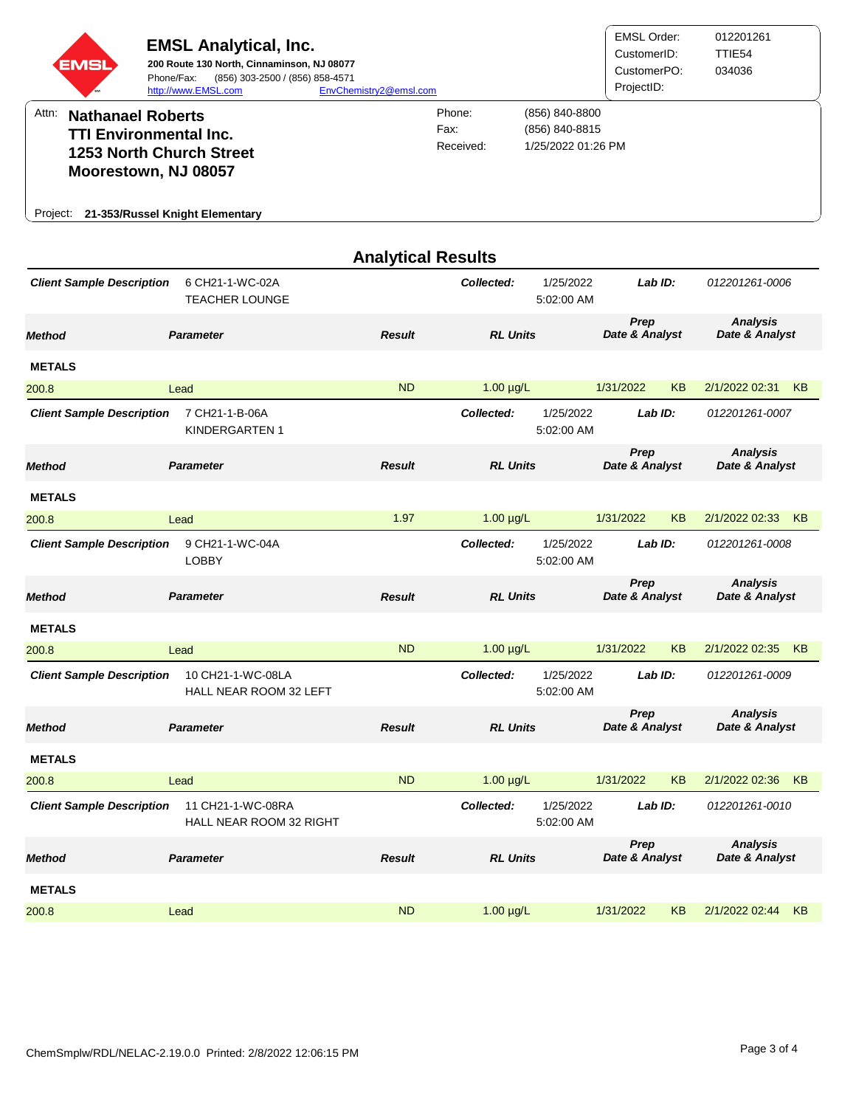| EMSI<br>Attn:<br><b>Nathanael Roberts</b>                                                                                                                                                            | <b>EMSL Analytical, Inc.</b><br>200 Route 130 North, Cinnaminson, NJ 08077<br>(856) 303-2500 / (856) 858-4571<br>Phone/Fax:<br>http://www.EMSL.com | EnvChemistry2@emsl.com    | Phone:                                | (856) 840-8800          | <b>EMSL Order:</b><br>CustomerID:<br>CustomerPO:<br>ProjectID: |           | 012201261<br>TTIE54<br>034036     |                |  |
|------------------------------------------------------------------------------------------------------------------------------------------------------------------------------------------------------|----------------------------------------------------------------------------------------------------------------------------------------------------|---------------------------|---------------------------------------|-------------------------|----------------------------------------------------------------|-----------|-----------------------------------|----------------|--|
| Fax:<br>(856) 840-8815<br><b>TTI Environmental Inc.</b><br>1/25/2022 01:26 PM<br>Received:<br><b>1253 North Church Street</b><br>Moorestown, NJ 08057<br>21-353/Russel Knight Elementary<br>Project: |                                                                                                                                                    |                           |                                       |                         |                                                                |           |                                   |                |  |
|                                                                                                                                                                                                      |                                                                                                                                                    | <b>Analytical Results</b> |                                       |                         |                                                                |           |                                   |                |  |
| <b>Client Sample Description</b>                                                                                                                                                                     | 6 CH21-1-WC-02A<br><b>TEACHER LOUNGE</b>                                                                                                           |                           | 1/25/2022<br>Collected:<br>5:02:00 AM |                         |                                                                | Lab ID:   |                                   | 012201261-0006 |  |
| Method                                                                                                                                                                                               | <b>Parameter</b>                                                                                                                                   | <b>Result</b>             | <b>RL Units</b>                       |                         | Prep<br>Date & Analyst                                         |           | <b>Analysis</b><br>Date & Analyst |                |  |
| <b>METALS</b>                                                                                                                                                                                        |                                                                                                                                                    |                           |                                       |                         |                                                                |           |                                   |                |  |
| 200.8                                                                                                                                                                                                | Lead                                                                                                                                               | <b>ND</b>                 | $1.00 \mu g/L$                        |                         | 1/31/2022                                                      | <b>KB</b> | 2/1/2022 02:31                    | KB             |  |
| <b>Client Sample Description</b>                                                                                                                                                                     | 7 CH21-1-B-06A<br>KINDERGARTEN 1                                                                                                                   |                           | Collected:                            | 1/25/2022<br>5:02:00 AM | Lab ID:                                                        |           | 012201261-0007                    |                |  |
| Method                                                                                                                                                                                               | <b>Parameter</b>                                                                                                                                   | <b>Result</b>             | <b>RL Units</b>                       |                         | Prep<br>Date & Analyst                                         |           | <b>Analysis</b><br>Date & Analyst |                |  |
| <b>METALS</b>                                                                                                                                                                                        |                                                                                                                                                    |                           |                                       |                         |                                                                |           |                                   |                |  |
| 200.8                                                                                                                                                                                                | Lead                                                                                                                                               | 1.97                      | $1.00 \mu g/L$                        |                         | 1/31/2022                                                      | KB        | 2/1/2022 02:33                    | KB             |  |
| <b>Client Sample Description</b>                                                                                                                                                                     | 9 CH21-1-WC-04A<br><b>LOBBY</b>                                                                                                                    |                           | Collected:                            | 1/25/2022<br>5:02:00 AM | Lab ID:                                                        |           | 012201261-0008                    |                |  |
| Method                                                                                                                                                                                               | <b>Parameter</b>                                                                                                                                   | <b>Result</b>             | <b>RL Units</b>                       |                         | Prep<br>Date & Analyst                                         |           | <b>Analysis</b><br>Date & Analyst |                |  |
| <b>METALS</b>                                                                                                                                                                                        |                                                                                                                                                    |                           |                                       |                         |                                                                |           |                                   |                |  |
| 200.8                                                                                                                                                                                                | Lead                                                                                                                                               | <b>ND</b>                 | $1.00 \mu g/L$                        |                         | 1/31/2022                                                      | KB        | 2/1/2022 02:35 KB                 |                |  |
| <b>Client Sample Description</b>                                                                                                                                                                     | 10 CH21-1-WC-08LA<br>HALL NEAR ROOM 32 LEFT                                                                                                        |                           | Collected:                            | 1/25/2022<br>5:02:00 AM | Lab ID:                                                        |           | 012201261-0009                    |                |  |
| <b>Method</b>                                                                                                                                                                                        | <b>Parameter</b>                                                                                                                                   | <b>Result</b>             | <b>RL Units</b>                       |                         | Prep<br>Date & Analyst                                         |           | <b>Analysis</b><br>Date & Analyst |                |  |
| <b>METALS</b>                                                                                                                                                                                        |                                                                                                                                                    |                           |                                       |                         |                                                                |           |                                   |                |  |
| 200.8                                                                                                                                                                                                | Lead                                                                                                                                               | <b>ND</b>                 | $1.00 \mu g/L$                        |                         | 1/31/2022                                                      | <b>KB</b> | 2/1/2022 02:36 KB                 |                |  |
| <b>Client Sample Description</b>                                                                                                                                                                     | 11 CH21-1-WC-08RA<br>HALL NEAR ROOM 32 RIGHT                                                                                                       |                           | Collected:                            | 1/25/2022<br>5:02:00 AM | Lab ID:                                                        |           | 012201261-0010                    |                |  |
| Method                                                                                                                                                                                               | <b>Parameter</b>                                                                                                                                   | <b>Result</b>             | <b>RL Units</b>                       |                         | Prep<br>Date & Analyst                                         |           | <b>Analysis</b><br>Date & Analyst |                |  |
| <b>METALS</b>                                                                                                                                                                                        |                                                                                                                                                    |                           |                                       |                         |                                                                |           |                                   |                |  |
| 200.8                                                                                                                                                                                                | Lead                                                                                                                                               | <b>ND</b>                 | $1.00 \mu g/L$                        |                         | 1/31/2022                                                      | KB        | 2/1/2022 02:44                    | KB             |  |